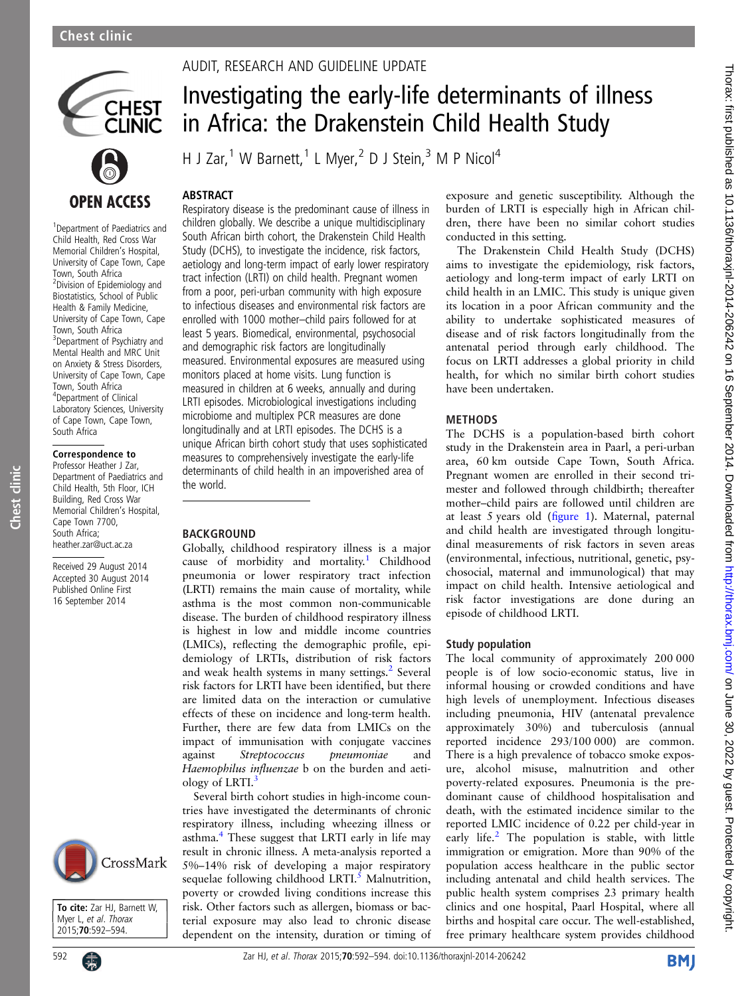

**OPEN ACCESS** 

AUDIT, RESEARCH AND GUIDELINE UPDATE

children globally. We describe a unique multidisciplinary South African birth cohort, the Drakenstein Child Health Study (DCHS), to investigate the incidence, risk factors, aetiology and long-term impact of early lower respiratory tract infection (LRTI) on child health. Pregnant women from a poor, peri-urban community with high exposure to infectious diseases and environmental risk factors are enrolled with 1000 mother–child pairs followed for at least 5 years. Biomedical, environmental, psychosocial and demographic risk factors are longitudinally measured. Environmental exposures are measured using monitors placed at home visits. Lung function is measured in children at 6 weeks, annually and during LRTI episodes. Microbiological investigations including microbiome and multiplex PCR measures are done longitudinally and at LRTI episodes. The DCHS is a unique African birth cohort study that uses sophisticated measures to comprehensively investigate the early-life determinants of child health in an impoverished area of

Globally, childhood respiratory illness is a major cause of morbidity and mortality.<sup>[1](#page-2-0)</sup> Childhood pneumonia or lower respiratory tract infection (LRTI) remains the main cause of mortality, while asthma is the most common non-communicable disease. The burden of childhood respiratory illness is highest in low and middle income countries (LMICs), reflecting the demographic profile, epidemiology of LRTIs, distribution of risk factors and weak health systems in many settings.<sup>[2](#page-2-0)</sup> Several risk factors for LRTI have been identified, but there are limited data on the interaction or cumulative effects of these on incidence and long-term health. Further, there are few data from LMICs on the impact of immunisation with conjugate vaccines against Streptococcus pneumoniae and Haemophilus influenzae b on the burden and aeti-

Several birth cohort studies in high-income countries have investigated the determinants of chronic respiratory illness, including wheezing illness or asthma.<sup>[4](#page-2-0)</sup> These suggest that LRTI early in life may result in chronic illness. A meta-analysis reported a 5%–14% risk of developing a major respiratory sequelae following childhood LRTI.<sup>5</sup> Malnutrition, poverty or crowded living conditions increase this risk. Other factors such as allergen, biomass or bacterial exposure may also lead to chronic disease dependent on the intensity, duration or timing of

# Investigating the early-life determinants of illness in Africa: the Drakenstein Child Health Study

H J Zar,<sup>1</sup> W Barnett,<sup>1</sup> L Myer,<sup>2</sup> D J Stein,<sup>3</sup> M P Nicol<sup>4</sup>

#### ABSTRACT Respiratory disease is the predominant cause of illness in

the world.

BACKGROUND

ology of LRTI. $3$ 

<sup>1</sup> Department of Paediatrics and Child Health, Red Cross War Memorial Children's Hospital, University of Cape Town, Cape Town, South Africa <sup>2</sup> Division of Epidemiology and Biostatistics, School of Public Health & Family Medicine, University of Cape Town, Cape Town, South Africa <sup>3</sup>Department of Psychiatry and Mental Health and MRC Unit on Anxiety & Stress Disorders, University of Cape Town, Cape Town, South Africa 4 Department of Clinical Laboratory Sciences, University of Cape Town, Cape Town, South Africa

Chest clinic

Chest clinic

Department of Paediatrics and Child Health, 5th Floor, ICH Building, Red Cross War Memorial Children's Hospital, Cape Town 7700, South Africa; heather.zar@uct.ac.za

Received 29 August 2014 Accepted 30 August 2014 Published Online First 16 September 2014



To cite: Zar HJ, Barnett W, Myer L, et al. Thorax 2015;70:592-594.

# exposure and genetic susceptibility. Although the burden of LRTI is especially high in African children, there have been no similar cohort studies conducted in this setting.

The Drakenstein Child Health Study (DCHS) aims to investigate the epidemiology, risk factors, aetiology and long-term impact of early LRTI on child health in an LMIC. This study is unique given its location in a poor African community and the ability to undertake sophisticated measures of disease and of risk factors longitudinally from the antenatal period through early childhood. The focus on LRTI addresses a global priority in child health, for which no similar birth cohort studies have been undertaken.

# METHODS

The DCHS is a population-based birth cohort study in the Drakenstein area in Paarl, a peri-urban area, 60 km outside Cape Town, South Africa. Pregnant women are enrolled in their second trimester and followed through childbirth; thereafter mother–child pairs are followed until children are at least 5 years old (fi[gure 1\)](#page-1-0). Maternal, paternal and child health are investigated through longitudinal measurements of risk factors in seven areas (environmental, infectious, nutritional, genetic, psychosocial, maternal and immunological) that may impact on child health. Intensive aetiological and risk factor investigations are done during an episode of childhood LRTI.

# Study population

The local community of approximately 200 000 people is of low socio-economic status, live in informal housing or crowded conditions and have high levels of unemployment. Infectious diseases including pneumonia, HIV (antenatal prevalence approximately 30%) and tuberculosis (annual reported incidence 293/100 000) are common. There is a high prevalence of tobacco smoke exposure, alcohol misuse, malnutrition and other poverty-related exposures. Pneumonia is the predominant cause of childhood hospitalisation and death, with the estimated incidence similar to the reported LMIC incidence of 0.22 per child-year in early life. $^2$  $^2$  The population is stable, with little immigration or emigration. More than 90% of the population access healthcare in the public sector including antenatal and child health services. The public health system comprises 23 primary health clinics and one hospital, Paarl Hospital, where all births and hospital care occur. The well-established, free primary healthcare system provides childhood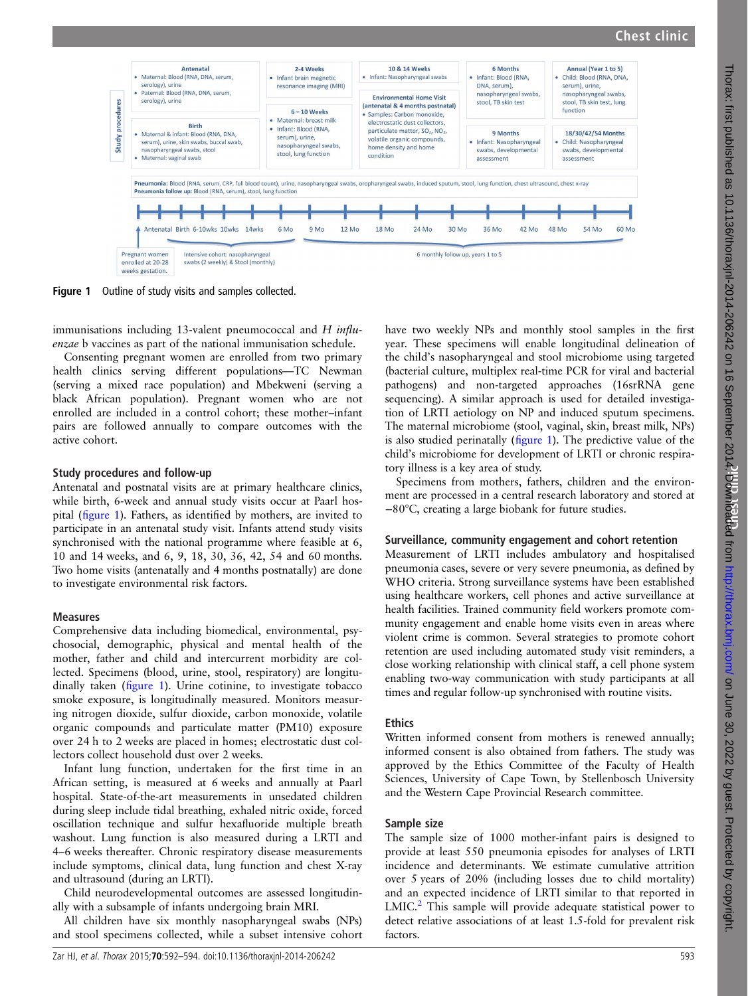<span id="page-1-0"></span>

Figure 1 Outline of study visits and samples collected.

immunisations including 13-valent pneumococcal and H influenzae b vaccines as part of the national immunisation schedule.

Consenting pregnant women are enrolled from two primary health clinics serving different populations—TC Newman (serving a mixed race population) and Mbekweni (serving a black African population). Pregnant women who are not enrolled are included in a control cohort; these mother–infant pairs are followed annually to compare outcomes with the active cohort.

# Study procedures and follow-up

Antenatal and postnatal visits are at primary healthcare clinics, while birth, 6-week and annual study visits occur at Paarl hospital (figure 1). Fathers, as identified by mothers, are invited to participate in an antenatal study visit. Infants attend study visits synchronised with the national programme where feasible at 6, 10 and 14 weeks, and 6, 9, 18, 30, 36, 42, 54 and 60 months. Two home visits (antenatally and 4 months postnatally) are done to investigate environmental risk factors.

# Measures

Comprehensive data including biomedical, environmental, psychosocial, demographic, physical and mental health of the mother, father and child and intercurrent morbidity are collected. Specimens (blood, urine, stool, respiratory) are longitudinally taken (figure 1). Urine cotinine, to investigate tobacco smoke exposure, is longitudinally measured. Monitors measuring nitrogen dioxide, sulfur dioxide, carbon monoxide, volatile organic compounds and particulate matter (PM10) exposure over 24 h to 2 weeks are placed in homes; electrostatic dust collectors collect household dust over 2 weeks.

Infant lung function, undertaken for the first time in an African setting, is measured at 6 weeks and annually at Paarl hospital. State-of-the-art measurements in unsedated children during sleep include tidal breathing, exhaled nitric oxide, forced oscillation technique and sulfur hexafluoride multiple breath washout. Lung function is also measured during a LRTI and 4–6 weeks thereafter. Chronic respiratory disease measurements include symptoms, clinical data, lung function and chest X-ray and ultrasound (during an LRTI).

Child neurodevelopmental outcomes are assessed longitudinally with a subsample of infants undergoing brain MRI.

All children have six monthly nasopharyngeal swabs (NPs) and stool specimens collected, while a subset intensive cohort have two weekly NPs and monthly stool samples in the first year. These specimens will enable longitudinal delineation of the child's nasopharyngeal and stool microbiome using targeted (bacterial culture, multiplex real-time PCR for viral and bacterial pathogens) and non-targeted approaches (16srRNA gene sequencing). A similar approach is used for detailed investigation of LRTI aetiology on NP and induced sputum specimens. The maternal microbiome (stool, vaginal, skin, breast milk, NPs) is also studied perinatally (figure 1). The predictive value of the child's microbiome for development of LRTI or chronic respiratory illness is a key area of study.

Specimens from mothers, fathers, children and the environment are processed in a central research laboratory and stored at −80°C, creating a large biobank for future studies.

# Surveillance, community engagement and cohort retention

Measurement of LRTI includes ambulatory and hospitalised pneumonia cases, severe or very severe pneumonia, as defined by WHO criteria. Strong surveillance systems have been established using healthcare workers, cell phones and active surveillance at health facilities. Trained community field workers promote community engagement and enable home visits even in areas where violent crime is common. Several strategies to promote cohort retention are used including automated study visit reminders, a close working relationship with clinical staff, a cell phone system enabling two-way communication with study participants at all times and regular follow-up synchronised with routine visits.

# **Ethics**

Written informed consent from mothers is renewed annually; informed consent is also obtained from fathers. The study was approved by the Ethics Committee of the Faculty of Health Sciences, University of Cape Town, by Stellenbosch University and the Western Cape Provincial Research committee.

# Sample size

The sample size of 1000 mother-infant pairs is designed to provide at least 550 pneumonia episodes for analyses of LRTI incidence and determinants. We estimate cumulative attrition over 5 years of 20% (including losses due to child mortality) and an expected incidence of LRTI similar to that reported in LMIC.<sup>[2](#page-2-0)</sup> This sample will provide adequate statistical power to detect relative associations of at least 1.5-fold for prevalent risk factors.